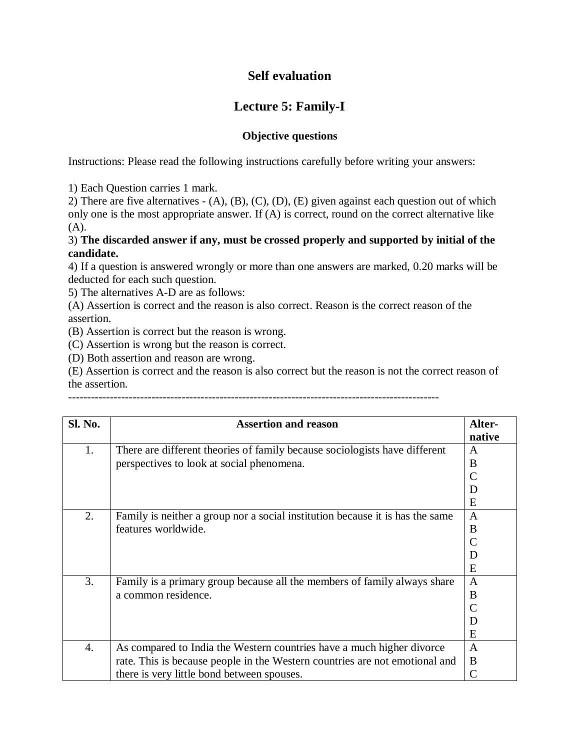## **Self evaluation**

# **Lecture 5: Family-I**

### **Objective questions**

Instructions: Please read the following instructions carefully before writing your answers:

1) Each Question carries 1 mark.

2) There are five alternatives - (A), (B), (C), (D), (E) given against each question out of which only one is the most appropriate answer. If (A) is correct, round on the correct alternative like (A).

#### 3) **The discarded answer if any, must be crossed properly and supported by initial of the candidate.**

4) If a question is answered wrongly or more than one answers are marked, 0.20 marks will be deducted for each such question.

5) The alternatives A-D are as follows:

(A) Assertion is correct and the reason is also correct. Reason is the correct reason of the assertion.

(B) Assertion is correct but the reason is wrong.

(C) Assertion is wrong but the reason is correct.

(D) Both assertion and reason are wrong.

(E) Assertion is correct and the reason is also correct but the reason is not the correct reason of the assertion.

--------------------------------------------------------------------------------------------------

| <b>Sl. No.</b>   | <b>Assertion and reason</b>                                                   | Alter-       |
|------------------|-------------------------------------------------------------------------------|--------------|
|                  |                                                                               | native       |
| 1.               | There are different theories of family because sociologists have different    | $\mathbf{A}$ |
|                  | perspectives to look at social phenomena.                                     | B            |
|                  |                                                                               | C            |
|                  |                                                                               | D            |
|                  |                                                                               | Е            |
| 2.               | Family is neither a group nor a social institution because it is has the same | $\mathbf{A}$ |
|                  | features worldwide.                                                           | B            |
|                  |                                                                               |              |
|                  |                                                                               | D            |
|                  |                                                                               | Е            |
| 3.               | Family is a primary group because all the members of family always share      | $\mathbf{A}$ |
|                  | a common residence.                                                           | B            |
|                  |                                                                               |              |
|                  |                                                                               | D            |
|                  |                                                                               | Е            |
| $\overline{4}$ . | As compared to India the Western countries have a much higher divorce         | $\mathbf{A}$ |
|                  | rate. This is because people in the Western countries are not emotional and   | B            |
|                  | there is very little bond between spouses.                                    | C            |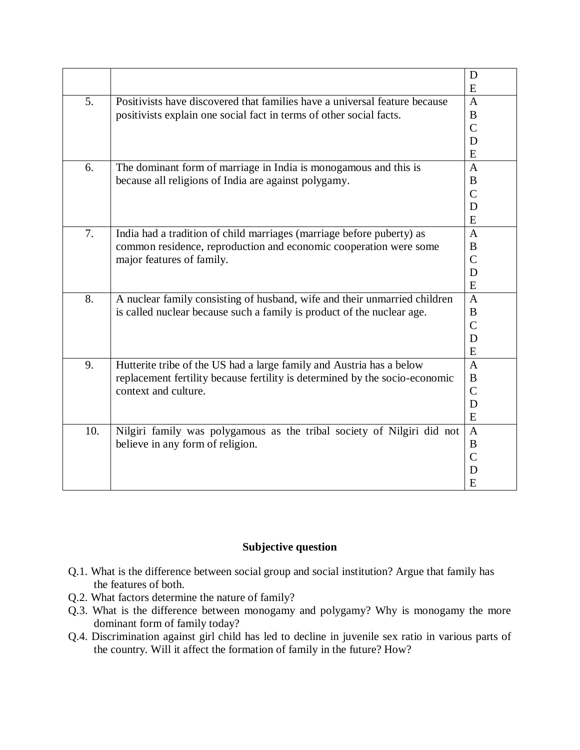|     |                                                                             | D              |
|-----|-----------------------------------------------------------------------------|----------------|
|     |                                                                             | E              |
| 5.  | Positivists have discovered that families have a universal feature because  | $\overline{A}$ |
|     | positivists explain one social fact in terms of other social facts.         | B              |
|     |                                                                             | $\overline{C}$ |
|     |                                                                             | D              |
|     |                                                                             | E              |
| 6.  | The dominant form of marriage in India is monogamous and this is            | $\mathbf{A}$   |
|     | because all religions of India are against polygamy.                        | B              |
|     |                                                                             | $\overline{C}$ |
|     |                                                                             | D              |
|     |                                                                             | E              |
| 7.  | India had a tradition of child marriages (marriage before puberty) as       | $\overline{A}$ |
|     | common residence, reproduction and economic cooperation were some           | B              |
|     | major features of family.                                                   | $\overline{C}$ |
|     |                                                                             | D              |
|     |                                                                             | E              |
| 8.  | A nuclear family consisting of husband, wife and their unmarried children   | $\overline{A}$ |
|     | is called nuclear because such a family is product of the nuclear age.      | B              |
|     |                                                                             | $\overline{C}$ |
|     |                                                                             | D              |
|     |                                                                             | E              |
| 9.  | Hutterite tribe of the US had a large family and Austria has a below        | $\overline{A}$ |
|     | replacement fertility because fertility is determined by the socio-economic | B              |
|     | context and culture.                                                        | $\overline{C}$ |
|     |                                                                             | D              |
|     |                                                                             | ${\bf E}$      |
| 10. | Nilgiri family was polygamous as the tribal society of Nilgiri did not      | $\mathbf{A}$   |
|     | believe in any form of religion.                                            | B              |
|     |                                                                             | $\overline{C}$ |
|     |                                                                             | D              |
|     |                                                                             | E              |

### **Subjective question**

- Q.1. What is the difference between social group and social institution? Argue that family has the features of both.
- Q.2. What factors determine the nature of family?
- Q.3. What is the difference between monogamy and polygamy? Why is monogamy the more dominant form of family today?
- Q.4. Discrimination against girl child has led to decline in juvenile sex ratio in various parts of the country. Will it affect the formation of family in the future? How?